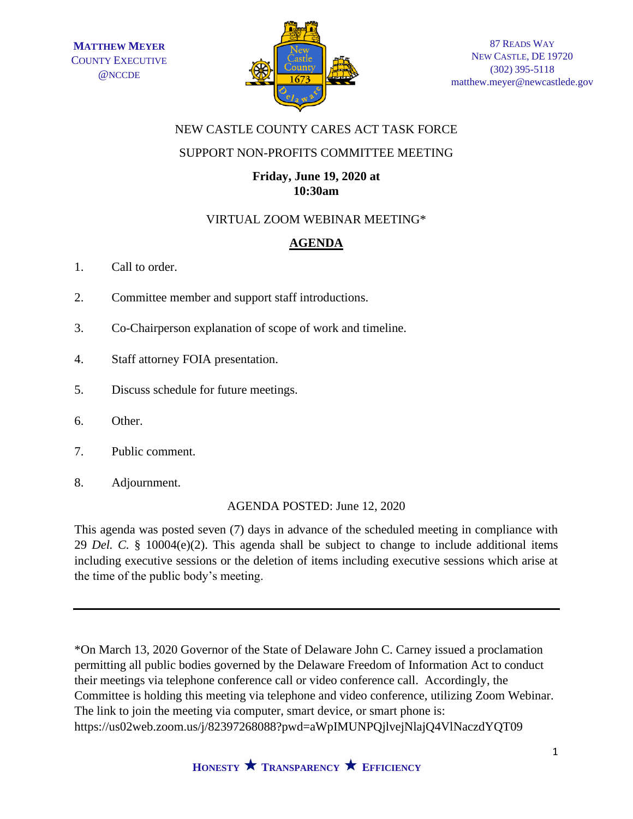

# NEW CASTLE COUNTY CARES ACT TASK FORCE

# SUPPORT NON-PROFITS COMMITTEE MEETING

# **Friday, June 19, 2020 at 10:30am**

# VIRTUAL ZOOM WEBINAR MEETING\*

# **AGENDA**

- 1. Call to order.
- 2. Committee member and support staff introductions.
- 3. Co-Chairperson explanation of scope of work and timeline.
- 4. Staff attorney FOIA presentation.
- 5. Discuss schedule for future meetings.
- 6. Other.
- 7. Public comment.
- 8. Adjournment.

AGENDA POSTED: June 12, 2020

This agenda was posted seven (7) days in advance of the scheduled meeting in compliance with 29 *Del. C.* § 10004(e)(2). This agenda shall be subject to change to include additional items including executive sessions or the deletion of items including executive sessions which arise at the time of the public body's meeting.

\*On March 13, 2020 Governor of the State of Delaware John C. Carney issued a proclamation permitting all public bodies governed by the Delaware Freedom of Information Act to conduct their meetings via telephone conference call or video conference call. Accordingly, the Committee is holding this meeting via telephone and video conference, utilizing Zoom Webinar. The link to join the meeting via computer, smart device, or smart phone is: https://us02web.zoom.us/j/82397268088?pwd=aWpIMUNPQjlvejNlajQ4VlNaczdYQT09